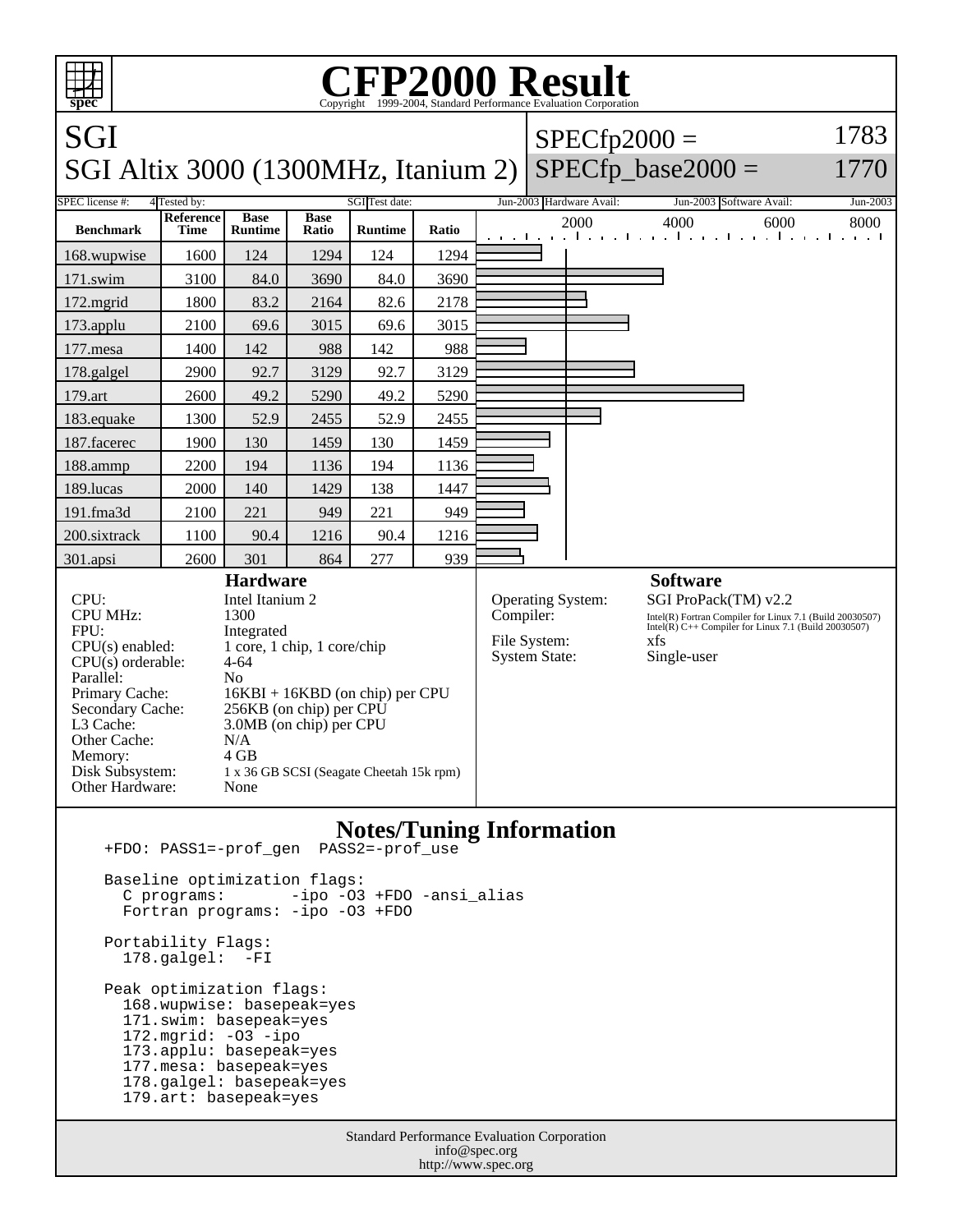

 Portability Flags: 178.galgel: -FI

 Peak optimization flags: 168.wupwise: basepeak=yes 171.swim: basepeak=yes 172.mgrid: -O3 -ipo 173.applu: basepeak=yes 177.mesa: basepeak=yes 178.galgel: basepeak=yes 179.art: basepeak=yes

> Standard Performance Evaluation Corporation info@spec.org http://www.spec.org